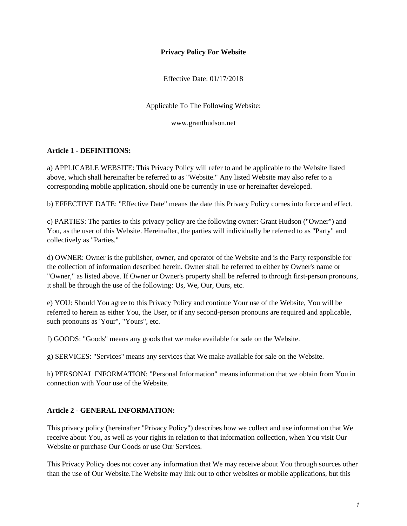#### **Privacy Policy For Website**

Effective Date: 01/17/2018

Applicable To The Following Website:

www.granthudson.net

#### **Article 1 - DEFINITIONS:**

a) APPLICABLE WEBSITE: This Privacy Policy will refer to and be applicable to the Website listed above, which shall hereinafter be referred to as "Website." Any listed Website may also refer to a corresponding mobile application, should one be currently in use or hereinafter developed.

b) EFFECTIVE DATE: "Effective Date" means the date this Privacy Policy comes into force and effect.

c) PARTIES: The parties to this privacy policy are the following owner: Grant Hudson ("Owner") and You, as the user of this Website. Hereinafter, the parties will individually be referred to as "Party" and collectively as "Parties."

d) OWNER: Owner is the publisher, owner, and operator of the Website and is the Party responsible for the collection of information described herein. Owner shall be referred to either by Owner's name or "Owner," as listed above. If Owner or Owner's property shall be referred to through first-person pronouns, it shall be through the use of the following: Us, We, Our, Ours, etc.

e) YOU: Should You agree to this Privacy Policy and continue Your use of the Website, You will be referred to herein as either You, the User, or if any second-person pronouns are required and applicable, such pronouns as 'Your", "Yours", etc.

f) GOODS: "Goods" means any goods that we make available for sale on the Website.

g) SERVICES: "Services" means any services that We make available for sale on the Website.

h) PERSONAL INFORMATION: "Personal Information" means information that we obtain from You in connection with Your use of the Website.

## **Article 2 - GENERAL INFORMATION:**

This privacy policy (hereinafter "Privacy Policy") describes how we collect and use information that We receive about You, as well as your rights in relation to that information collection, when You visit Our Website or purchase Our Goods or use Our Services.

This Privacy Policy does not cover any information that We may receive about You through sources other than the use of Our Website.The Website may link out to other websites or mobile applications, but this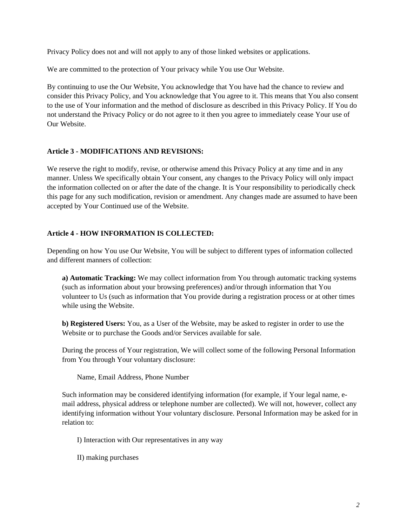Privacy Policy does not and will not apply to any of those linked websites or applications.

We are committed to the protection of Your privacy while You use Our Website.

By continuing to use the Our Website, You acknowledge that You have had the chance to review and consider this Privacy Policy, and You acknowledge that You agree to it. This means that You also consent to the use of Your information and the method of disclosure as described in this Privacy Policy. If You do not understand the Privacy Policy or do not agree to it then you agree to immediately cease Your use of Our Website.

# **Article 3 - MODIFICATIONS AND REVISIONS:**

We reserve the right to modify, revise, or otherwise amend this Privacy Policy at any time and in any manner. Unless We specifically obtain Your consent, any changes to the Privacy Policy will only impact the information collected on or after the date of the change. It is Your responsibility to periodically check this page for any such modification, revision or amendment. Any changes made are assumed to have been accepted by Your Continued use of the Website.

## **Article 4 - HOW INFORMATION IS COLLECTED:**

Depending on how You use Our Website, You will be subject to different types of information collected and different manners of collection:

**a) Automatic Tracking:** We may collect information from You through automatic tracking systems (such as information about your browsing preferences) and/or through information that You volunteer to Us (such as information that You provide during a registration process or at other times while using the Website.

**b) Registered Users:** You, as a User of the Website, may be asked to register in order to use the Website or to purchase the Goods and/or Services available for sale.

During the process of Your registration, We will collect some of the following Personal Information from You through Your voluntary disclosure:

Name, Email Address, Phone Number

Such information may be considered identifying information (for example, if Your legal name, email address, physical address or telephone number are collected). We will not, however, collect any identifying information without Your voluntary disclosure. Personal Information may be asked for in relation to:

I) Interaction with Our representatives in any way

II) making purchases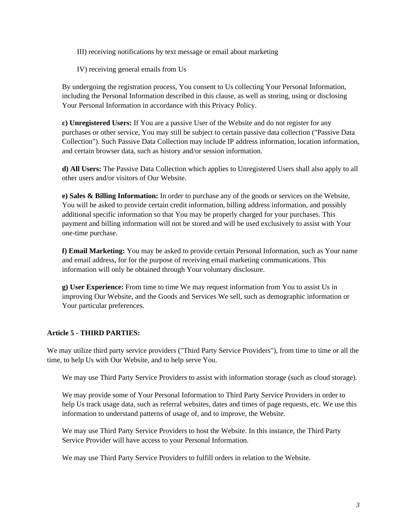III) receiving notifications by text message or email about marketing

IV) receiving general emails from Us

By undergoing the registration process, You consent to Us collecting Your Personal Information, including the Personal Information described in this clause, as well as storing, using or disclosing Your Personal Information in accordance with this Privacy Policy.

**c) Unregistered Users:** If You are a passive User of the Website and do not register for any purchases or other service, You may still be subject to certain passive data collection ("Passive Data Collection"). Such Passive Data Collection may include IP address information, location information, and certain browser data, such as history and/or session information.

**d) All Users:** The Passive Data Collection which applies to Unregistered Users shall also apply to all other users and/or visitors of Our Website.

**e) Sales & Billing Information:** In order to purchase any of the goods or services on the Website, You will be asked to provide certain credit information, billing address information, and possibly additional specific information so that You may be properly charged for your purchases. This payment and billing information will not be stored and will be used exclusively to assist with Your one-time purchase.

**f) Email Marketing:** You may be asked to provide certain Personal Information, such as Your name and email address, for for the purpose of receiving email marketing communications. This information will only be obtained through Your voluntary disclosure.

**g) User Experience:** From time to time We may request information from You to assist Us in improving Our Website, and the Goods and Services We sell, such as demographic information or Your particular preferences.

## **Article 5 - THIRD PARTIES:**

We may utilize third party service providers ("Third Party Service Providers"), from time to time or all the time, to help Us with Our Website, and to help serve You.

We may use Third Party Service Providers to assist with information storage (such as cloud storage).

We may provide some of Your Personal Information to Third Party Service Providers in order to help Us track usage data, such as referral websites, dates and times of page requests, etc. We use this information to understand patterns of usage of, and to improve, the Website.

We may use Third Party Service Providers to host the Website. In this instance, the Third Party Service Provider will have access to your Personal Information.

We may use Third Party Service Providers to fulfill orders in relation to the Website.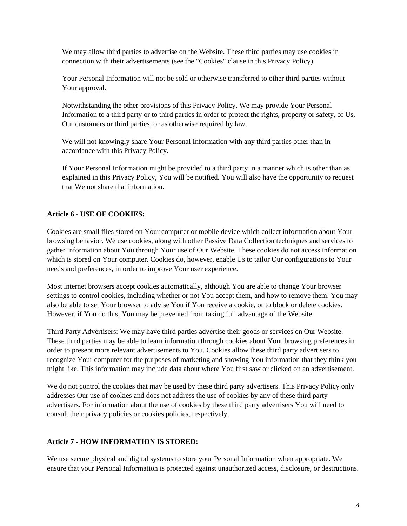We may allow third parties to advertise on the Website. These third parties may use cookies in connection with their advertisements (see the "Cookies" clause in this Privacy Policy).

Your Personal Information will not be sold or otherwise transferred to other third parties without Your approval.

Notwithstanding the other provisions of this Privacy Policy, We may provide Your Personal Information to a third party or to third parties in order to protect the rights, property or safety, of Us, Our customers or third parties, or as otherwise required by law.

We will not knowingly share Your Personal Information with any third parties other than in accordance with this Privacy Policy.

If Your Personal Information might be provided to a third party in a manner which is other than as explained in this Privacy Policy, You will be notified. You will also have the opportunity to request that We not share that information.

# **Article 6 - USE OF COOKIES:**

Cookies are small files stored on Your computer or mobile device which collect information about Your browsing behavior. We use cookies, along with other Passive Data Collection techniques and services to gather information about You through Your use of Our Website. These cookies do not access information which is stored on Your computer. Cookies do, however, enable Us to tailor Our configurations to Your needs and preferences, in order to improve Your user experience.

Most internet browsers accept cookies automatically, although You are able to change Your browser settings to control cookies, including whether or not You accept them, and how to remove them. You may also be able to set Your browser to advise You if You receive a cookie, or to block or delete cookies. However, if You do this, You may be prevented from taking full advantage of the Website.

Third Party Advertisers: We may have third parties advertise their goods or services on Our Website. These third parties may be able to learn information through cookies about Your browsing preferences in order to present more relevant advertisements to You. Cookies allow these third party advertisers to recognize Your computer for the purposes of marketing and showing You information that they think you might like. This information may include data about where You first saw or clicked on an advertisement.

We do not control the cookies that may be used by these third party advertisers. This Privacy Policy only addresses Our use of cookies and does not address the use of cookies by any of these third party advertisers. For information about the use of cookies by these third party advertisers You will need to consult their privacy policies or cookies policies, respectively.

## **Article 7 - HOW INFORMATION IS STORED:**

We use secure physical and digital systems to store your Personal Information when appropriate. We ensure that your Personal Information is protected against unauthorized access, disclosure, or destructions.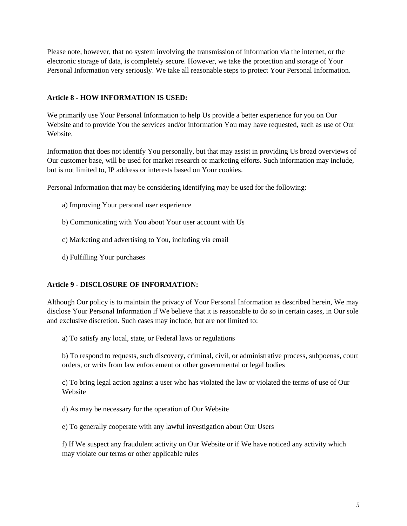Please note, however, that no system involving the transmission of information via the internet, or the electronic storage of data, is completely secure. However, we take the protection and storage of Your Personal Information very seriously. We take all reasonable steps to protect Your Personal Information.

#### **Article 8 - HOW INFORMATION IS USED:**

We primarily use Your Personal Information to help Us provide a better experience for you on Our Website and to provide You the services and/or information You may have requested, such as use of Our Website.

Information that does not identify You personally, but that may assist in providing Us broad overviews of Our customer base, will be used for market research or marketing efforts. Such information may include, but is not limited to, IP address or interests based on Your cookies.

Personal Information that may be considering identifying may be used for the following:

- a) Improving Your personal user experience
- b) Communicating with You about Your user account with Us
- c) Marketing and advertising to You, including via email
- d) Fulfilling Your purchases

## **Article 9 - DISCLOSURE OF INFORMATION:**

Although Our policy is to maintain the privacy of Your Personal Information as described herein, We may disclose Your Personal Information if We believe that it is reasonable to do so in certain cases, in Our sole and exclusive discretion. Such cases may include, but are not limited to:

a) To satisfy any local, state, or Federal laws or regulations

b) To respond to requests, such discovery, criminal, civil, or administrative process, subpoenas, court orders, or writs from law enforcement or other governmental or legal bodies

c) To bring legal action against a user who has violated the law or violated the terms of use of Our Website

d) As may be necessary for the operation of Our Website

e) To generally cooperate with any lawful investigation about Our Users

f) If We suspect any fraudulent activity on Our Website or if We have noticed any activity which may violate our terms or other applicable rules